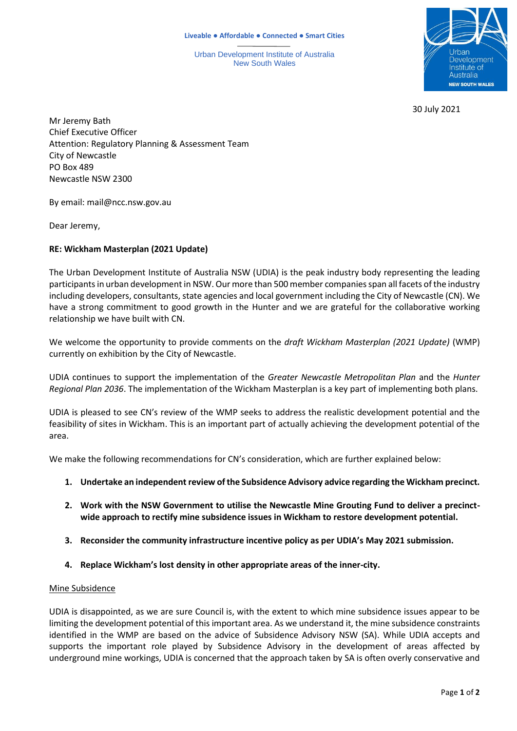Urban Development Institute of Australia New South Wales



30 July 2021

Mr Jeremy Bath Chief Executive Officer Attention: Regulatory Planning & Assessment Team City of Newcastle PO Box 489 Newcastle NSW 2300

By email: mail@ncc.nsw.gov.au

Dear Jeremy,

# **RE: Wickham Masterplan (2021 Update)**

The Urban Development Institute of Australia NSW (UDIA) is the peak industry body representing the leading participants in urban development in NSW. Our more than 500 member companies span all facets of the industry including developers, consultants, state agencies and local government including the City of Newcastle (CN). We have a strong commitment to good growth in the Hunter and we are grateful for the collaborative working relationship we have built with CN.

We welcome the opportunity to provide comments on the *draft Wickham Masterplan (2021 Update)* (WMP) currently on exhibition by the City of Newcastle.

UDIA continues to support the implementation of the *Greater Newcastle Metropolitan Plan* and the *Hunter Regional Plan 2036*. The implementation of the Wickham Masterplan is a key part of implementing both plans.

UDIA is pleased to see CN's review of the WMP seeks to address the realistic development potential and the feasibility of sites in Wickham. This is an important part of actually achieving the development potential of the area.

We make the following recommendations for CN's consideration, which are further explained below:

- **1. Undertake an independent review of the Subsidence Advisory advice regarding the Wickham precinct.**
- **2. Work with the NSW Government to utilise the Newcastle Mine Grouting Fund to deliver a precinctwide approach to rectify mine subsidence issues in Wickham to restore development potential.**
- **3. Reconsider the community infrastructure incentive policy as per UDIA's May 2021 submission.**
- **4. Replace Wickham's lost density in other appropriate areas of the inner-city.**

# Mine Subsidence

UDIA is disappointed, as we are sure Council is, with the extent to which mine subsidence issues appear to be limiting the development potential of this important area. As we understand it, the mine subsidence constraints identified in the WMP are based on the advice of Subsidence Advisory NSW (SA). While UDIA accepts and supports the important role played by Subsidence Advisory in the development of areas affected by underground mine workings, UDIA is concerned that the approach taken by SA is often overly conservative and